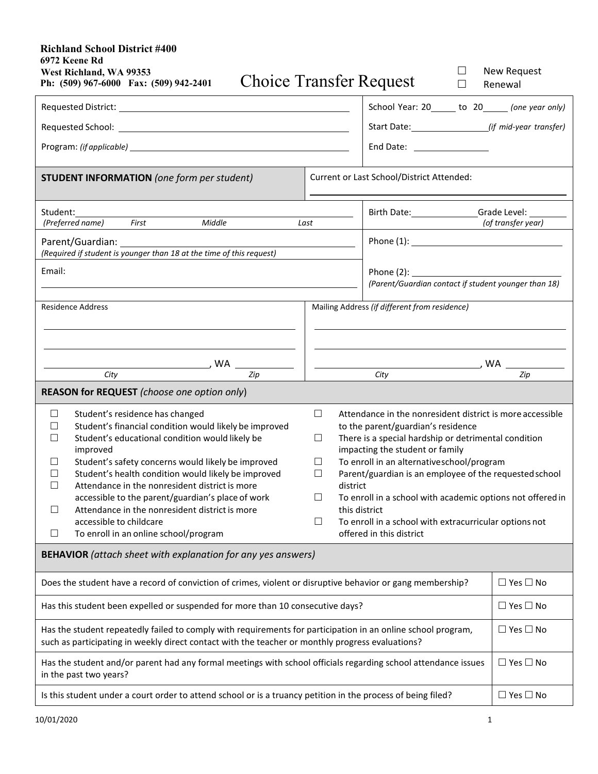## **West Richland, WA 99353 Richland School District #400 6972 Keene Rd**

| <b>New Request</b><br>$\Box$<br>West Richland, WA 99353<br><b>Choice Transfer Request</b><br>Ph: (509) 967-6000 Fax: (509) 942-2401<br>П<br>Renewal                                                                                                                                                                                                                                                                                                                                                                                                                                                                                                                                                                                                                                                                                                                                                                                                                                                                                                                                                                    |                                                      |                      |
|------------------------------------------------------------------------------------------------------------------------------------------------------------------------------------------------------------------------------------------------------------------------------------------------------------------------------------------------------------------------------------------------------------------------------------------------------------------------------------------------------------------------------------------------------------------------------------------------------------------------------------------------------------------------------------------------------------------------------------------------------------------------------------------------------------------------------------------------------------------------------------------------------------------------------------------------------------------------------------------------------------------------------------------------------------------------------------------------------------------------|------------------------------------------------------|----------------------|
|                                                                                                                                                                                                                                                                                                                                                                                                                                                                                                                                                                                                                                                                                                                                                                                                                                                                                                                                                                                                                                                                                                                        | School Year: 20______ to 20______ (one year only)    |                      |
| Requested School:                                                                                                                                                                                                                                                                                                                                                                                                                                                                                                                                                                                                                                                                                                                                                                                                                                                                                                                                                                                                                                                                                                      | Start Date: (if mid-year transfer)                   |                      |
|                                                                                                                                                                                                                                                                                                                                                                                                                                                                                                                                                                                                                                                                                                                                                                                                                                                                                                                                                                                                                                                                                                                        | End Date: <u>_________________</u>                   |                      |
| Current or Last School/District Attended:<br><b>STUDENT INFORMATION</b> (one form per student)                                                                                                                                                                                                                                                                                                                                                                                                                                                                                                                                                                                                                                                                                                                                                                                                                                                                                                                                                                                                                         |                                                      |                      |
| Student:<br>First<br>Middle<br>(Preferred name)                                                                                                                                                                                                                                                                                                                                                                                                                                                                                                                                                                                                                                                                                                                                                                                                                                                                                                                                                                                                                                                                        | Birth Date: Grade Level: 1997<br>Last                | (of transfer year)   |
| (Required if student is younger than 18 at the time of this request)                                                                                                                                                                                                                                                                                                                                                                                                                                                                                                                                                                                                                                                                                                                                                                                                                                                                                                                                                                                                                                                   |                                                      |                      |
| Email:                                                                                                                                                                                                                                                                                                                                                                                                                                                                                                                                                                                                                                                                                                                                                                                                                                                                                                                                                                                                                                                                                                                 | (Parent/Guardian contact if student younger than 18) |                      |
| Mailing Address (if different from residence)<br><b>Residence Address</b>                                                                                                                                                                                                                                                                                                                                                                                                                                                                                                                                                                                                                                                                                                                                                                                                                                                                                                                                                                                                                                              |                                                      |                      |
| $\overline{Zip}$<br>City                                                                                                                                                                                                                                                                                                                                                                                                                                                                                                                                                                                                                                                                                                                                                                                                                                                                                                                                                                                                                                                                                               | City                                                 | $\overline{Zip}$     |
| REASON for REQUEST (choose one option only)                                                                                                                                                                                                                                                                                                                                                                                                                                                                                                                                                                                                                                                                                                                                                                                                                                                                                                                                                                                                                                                                            |                                                      |                      |
| Student's residence has changed<br>$\Box$<br>Attendance in the nonresident district is more accessible<br>Ш<br>Student's financial condition would likely be improved<br>to the parent/guardian's residence<br>⊔<br>Student's educational condition would likely be<br>There is a special hardship or detrimental condition<br>$\Box$<br>$\Box$<br>improved<br>impacting the student or family<br>To enroll in an alternativeschool/program<br>Student's safety concerns would likely be improved<br>$\Box$<br>$\perp$<br>Student's health condition would likely be improved<br>Parent/guardian is an employee of the requested school<br>$\Box$<br>$\Box$<br>Attendance in the nonresident district is more<br>$\Box$<br>district<br>accessible to the parent/guardian's place of work<br>To enroll in a school with academic options not offered in<br>$\Box$<br>$\Box$<br>Attendance in the nonresident district is more<br>this district<br>accessible to childcare<br>To enroll in a school with extracurricular options not<br>$\Box$<br>To enroll in an online school/program<br>offered in this district<br>⊔ |                                                      |                      |
| <b>BEHAVIOR</b> (attach sheet with explanation for any yes answers)                                                                                                                                                                                                                                                                                                                                                                                                                                                                                                                                                                                                                                                                                                                                                                                                                                                                                                                                                                                                                                                    |                                                      |                      |
| Does the student have a record of conviction of crimes, violent or disruptive behavior or gang membership?                                                                                                                                                                                                                                                                                                                                                                                                                                                                                                                                                                                                                                                                                                                                                                                                                                                                                                                                                                                                             |                                                      | $\Box$ Yes $\Box$ No |
| Has this student been expelled or suspended for more than 10 consecutive days?                                                                                                                                                                                                                                                                                                                                                                                                                                                                                                                                                                                                                                                                                                                                                                                                                                                                                                                                                                                                                                         |                                                      | $\Box$ Yes $\Box$ No |
| Has the student repeatedly failed to comply with requirements for participation in an online school program,<br>such as participating in weekly direct contact with the teacher or monthly progress evaluations?                                                                                                                                                                                                                                                                                                                                                                                                                                                                                                                                                                                                                                                                                                                                                                                                                                                                                                       |                                                      | $\Box$ Yes $\Box$ No |
| Has the student and/or parent had any formal meetings with school officials regarding school attendance issues<br>in the past two years?                                                                                                                                                                                                                                                                                                                                                                                                                                                                                                                                                                                                                                                                                                                                                                                                                                                                                                                                                                               |                                                      | $\Box$ Yes $\Box$ No |
| Is this student under a court order to attend school or is a truancy petition in the process of being filed?                                                                                                                                                                                                                                                                                                                                                                                                                                                                                                                                                                                                                                                                                                                                                                                                                                                                                                                                                                                                           |                                                      | $\Box$ Yes $\Box$ No |
|                                                                                                                                                                                                                                                                                                                                                                                                                                                                                                                                                                                                                                                                                                                                                                                                                                                                                                                                                                                                                                                                                                                        |                                                      |                      |